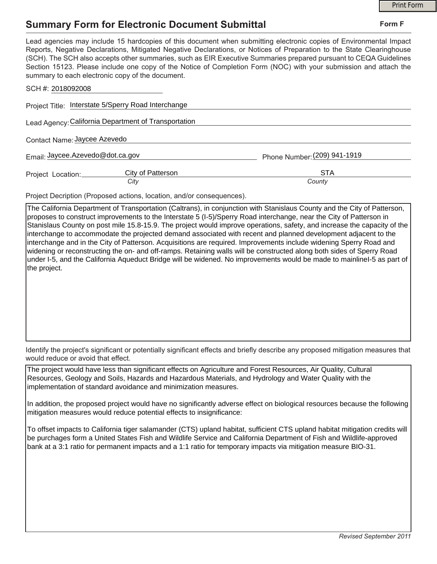## **Summary Form for Electronic Document Submittal**

|                                                                                                                                                                                                                                                                                                                                                                                                                                                                                                                                           | <b>Print Form</b>            |  |
|-------------------------------------------------------------------------------------------------------------------------------------------------------------------------------------------------------------------------------------------------------------------------------------------------------------------------------------------------------------------------------------------------------------------------------------------------------------------------------------------------------------------------------------------|------------------------------|--|
| <b>Summary Form for Electronic Document Submittal</b>                                                                                                                                                                                                                                                                                                                                                                                                                                                                                     | Form F                       |  |
| Lead agencies may include 15 hardcopies of this document when submitting electronic copies of Environmental Impact<br>Reports, Negative Declarations, Mitigated Negative Declarations, or Notices of Preparation to the State Clearinghouse<br>(SCH). The SCH also accepts other summaries, such as EIR Executive Summaries prepared pursuant to CEQA Guidelines<br>Section 15123. Please include one copy of the Notice of Completion Form (NOC) with your submission and attach the<br>summary to each electronic copy of the document. |                              |  |
| SCH #: 2018092008                                                                                                                                                                                                                                                                                                                                                                                                                                                                                                                         |                              |  |
| Project Title: Interstate 5/Sperry Road Interchange                                                                                                                                                                                                                                                                                                                                                                                                                                                                                       |                              |  |
| Lead Agency: California Department of Transportation                                                                                                                                                                                                                                                                                                                                                                                                                                                                                      |                              |  |
| Contact Name: Jaycee Azevedo                                                                                                                                                                                                                                                                                                                                                                                                                                                                                                              |                              |  |
| Email: Jaycee.Azevedo@dot.ca.gov                                                                                                                                                                                                                                                                                                                                                                                                                                                                                                          | Phone Number: (209) 941-1919 |  |
| City of Patterson<br>Project Location:<br>City                                                                                                                                                                                                                                                                                                                                                                                                                                                                                            | <b>STA</b><br>County         |  |

Project Decription (Proposed actions, location, and/or consequences).

The California Department of Transportation (Caltrans), in conjunction with Stanislaus County and the City of Patterson, proposes to construct improvements to the Interstate 5 (I-5)/Sperry Road interchange, near the City of Patterson in Stanislaus County on post mile 15.8-15.9. The project would improve operations, safety, and increase the capacity of the interchange to accommodate the projected demand associated with recent and planned development adjacent to the interchange and in the City of Patterson. Acquisitions are required. Improvements include widening Sperry Road and widening or reconstructing the on- and off-ramps. Retaining walls will be constructed along both sides of Sperry Road under I-5, and the California Aqueduct Bridge will be widened. No improvements would be made to mainlineI-5 as part of the project.

Identify the project's significant or potentially significant effects and briefly describe any proposed mitigation measures that would reduce or avoid that effect.

The project would have less than significant effects on Agriculture and Forest Resources, Air Quality, Cultural Resources, Geology and Soils, Hazards and Hazardous Materials, and Hydrology and Water Quality with the implementation of standard avoidance and minimization measures.

In addition, the proposed project would have no significantly adverse effect on biological resources because the following mitigation measures would reduce potential effects to insignificance:

To offset impacts to California tiger salamander (CTS) upland habitat, sufficient CTS upland habitat mitigation credits will be purchages form a United States Fish and Wildlife Service and California Department of Fish and Wildlife-approved bank at a 3:1 ratio for permanent impacts and a 1:1 ratio for temporary impacts via mitigation measure BIO-31.